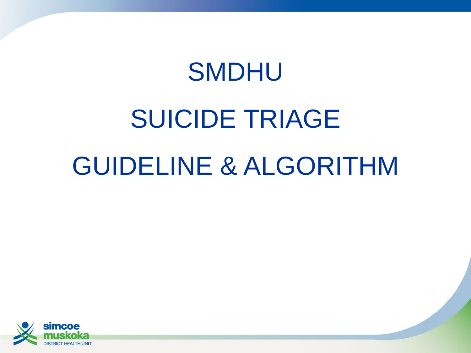## SMDHU

# SUICIDE TRIAGE GUIDELINE & ALGORITHM

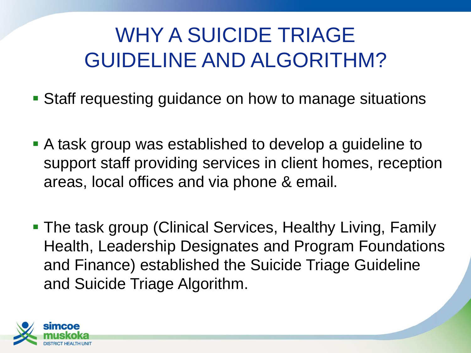## WHY A SUICIDE TRIAGE GUIDELINE AND ALGORITHM?

- Staff requesting guidance on how to manage situations
- A task group was established to develop a guideline to support staff providing services in client homes, reception areas, local offices and via phone & email.
- The task group (Clinical Services, Healthy Living, Family Health, Leadership Designates and Program Foundations and Finance) established the Suicide Triage Guideline and Suicide Triage Algorithm.

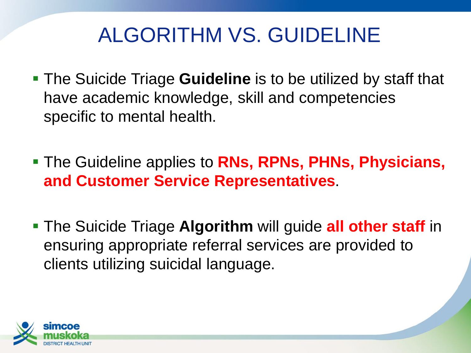## ALGORITHM VS. GUIDELINE

- The Suicide Triage **Guideline** is to be utilized by staff that have academic knowledge, skill and competencies specific to mental health.
- The Guideline applies to **RNs, RPNs, PHNs, Physicians, and Customer Service Representatives**.
- The Suicide Triage **Algorithm** will guide **all other staff** in ensuring appropriate referral services are provided to clients utilizing suicidal language.

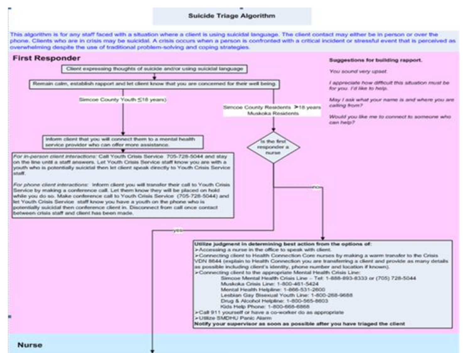#### **Suicide Triage Algorithm**

This algorithm is for any staff faced with a situation where a client is using suicidal language. The client contact may either be in person or over the phone. Clients who are in crisis may be suicidal. A crisis occurs when a person is confronted with a critical incident or stressful event that is perceived as overwhelming despite the use of traditional problem-solving and coping strategies.

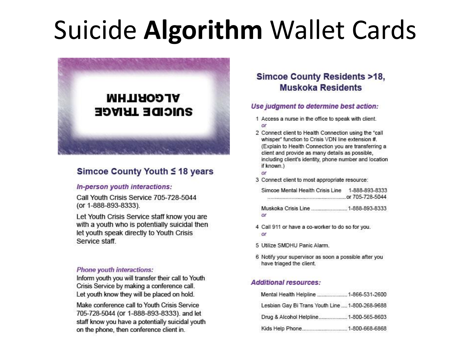## **Suicide Algorithm Wallet Cards**



### Simcoe County Youth ≤ 18 years

#### In-person youth interactions:

Call Youth Crisis Service 705-728-5044 (or 1-888-893-8333).

Let Youth Crisis Service staff know you are with a youth who is potentially suicidal then let youth speak directly to Youth Crisis Service staff.

#### **Phone youth interactions:**

Inform youth you will transfer their call to Youth Crisis Service by making a conference call. Let youth know they will be placed on hold.

Make conference call to Youth Crisis Service 705-728-5044 (or 1-888-893-8333). and let staff know you have a potentially suicidal youth on the phone, then conference client in.

### **Simcoe County Residents >18. Muskoka Residents**

#### Use judgment to determine best action:

- 1 Access a nurse in the office to speak with client.  $\alpha$ <sup>r</sup>
- 2 Connect client to Health Connection using the "call whisper" function to Crisis VDN line extension #. (Explain to Health Connection you are transferring a client and provide as many details as possible. including client's identity, phone number and location if known.)
- $\alpha$ r
- 3 Connect client to most appropriate resource:

| Simcoe Mental Health Crisis Line 1-888-893-8333                                                                 |  |
|-----------------------------------------------------------------------------------------------------------------|--|
| and a construction of the construction of the construction of the construction of the construction of the const |  |
|                                                                                                                 |  |

or

- 4 Call 911 or have a co-worker to do so for you. or
- 5 Utilize SMDHU Panic Alarm.
- 6 Notify your supervisor as soon a possible after you have triaged the client.

#### **Additional resources:**

| Mental Health Helpline  1-866-531-2600          |  |
|-------------------------------------------------|--|
| Lesbian Gay Bi Trans Youth Line  1-800-268-9688 |  |
| Drug & Alcohol Helpline 1-800-565-8603          |  |
| Kids Help Phone 1-800-668-6868                  |  |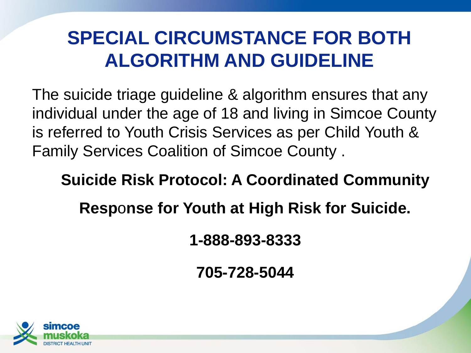### **SPECIAL CIRCUMSTANCE FOR BOTH ALGORITHM AND GUIDELINE**

The suicide triage guideline & algorithm ensures that any individual under the age of 18 and living in Simcoe County is referred to Youth Crisis Services as per Child Youth & Family Services Coalition of Simcoe County .

### **Suicide Risk Protocol: A Coordinated Community**

**Resp**o**nse for Youth at High Risk for Suicide.** 

**1-888-893-8333**

**705-728-5044**

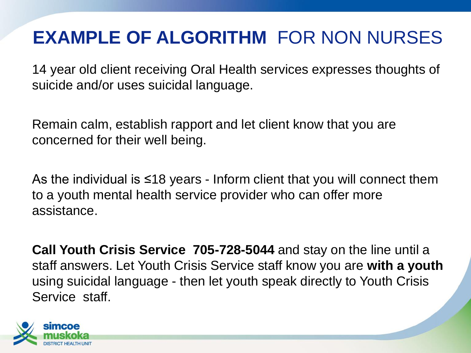### **EXAMPLE OF ALGORITHM** FOR NON NURSES

14 year old client receiving Oral Health services expresses thoughts of suicide and/or uses suicidal language.

Remain calm, establish rapport and let client know that you are concerned for their well being.

As the individual is ≤18 years - Inform client that you will connect them to a youth mental health service provider who can offer more assistance.

**Call Youth Crisis Service 705-728-5044** and stay on the line until a staff answers. Let Youth Crisis Service staff know you are **with a youth**  using suicidal language - then let youth speak directly to Youth Crisis Service staff.

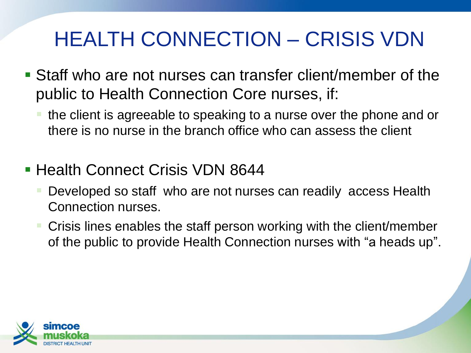## HEALTH CONNECTION – CRISIS VDN

- Staff who are not nurses can transfer client/member of the public to Health Connection Core nurses, if:
	- the client is agreeable to speaking to a nurse over the phone and or there is no nurse in the branch office who can assess the client
- Health Connect Crisis VDN 8644
	- Developed so staff who are not nurses can readily access Health Connection nurses.
	- Crisis lines enables the staff person working with the client/member of the public to provide Health Connection nurses with "a heads up".

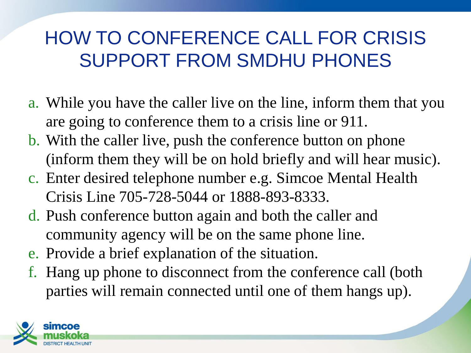### HOW TO CONFERENCE CALL FOR CRISIS SUPPORT FROM SMDHU PHONES

- a. While you have the caller live on the line, inform them that you are going to conference them to a crisis line or 911.
- b. With the caller live, push the conference button on phone (inform them they will be on hold briefly and will hear music).
- c. Enter desired telephone number e.g. Simcoe Mental Health Crisis Line 705-728-5044 or 1888-893-8333.
- d. Push conference button again and both the caller and community agency will be on the same phone line.
- e. Provide a brief explanation of the situation.
- f. Hang up phone to disconnect from the conference call (both parties will remain connected until one of them hangs up).

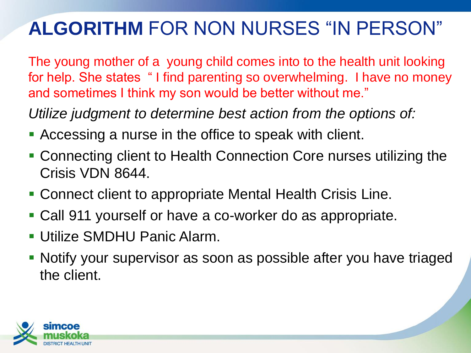### **ALGORITHM** FOR NON NURSES "IN PERSON"

The young mother of a young child comes into to the health unit looking for help. She states " I find parenting so overwhelming. I have no money and sometimes I think my son would be better without me."

*Utilize judgment to determine best action from the options of:*

- Accessing a nurse in the office to speak with client.
- Connecting client to Health Connection Core nurses utilizing the Crisis VDN 8644.
- Connect client to appropriate Mental Health Crisis Line.
- Call 911 yourself or have a co-worker do as appropriate.
- Utilize SMDHU Panic Alarm.
- Notify your supervisor as soon as possible after you have triaged the client.

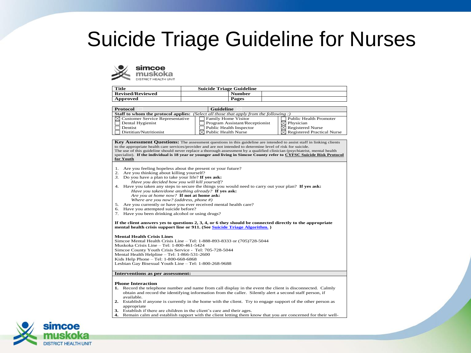### Suicide Triage Guideline for Nurses



| Title                   | <b>Suicide Triage Guideline</b> |  |
|-------------------------|---------------------------------|--|
| <b>Revised/Reviewed</b> | <b>Number</b>                   |  |
| Approved                | Pages                           |  |

| Protocol                                                                                      | Guideline                       |                                        |
|-----------------------------------------------------------------------------------------------|---------------------------------|----------------------------------------|
| <b>Staff to whom the protocol applies:</b> (Select all those that apply from the following :) |                                 |                                        |
| $\boxtimes$ Customer Service Representative                                                   | Family Home Visitor             | Public Health Promoter                 |
| Dental Hygienist                                                                              | Program Assistant/Receptionist  | $\boxtimes$ Physician                  |
| Dentist                                                                                       | Public Health Inspector         | $\boxtimes$ Registered Nurse           |
| <sup>1</sup> Dietitian/Nutritionist                                                           | $\boxtimes$ Public Health Nurse | $\boxtimes$ Registered Practical Nurse |

**Key Assessment Questions:** The assessment questions in this guideline are intended to assist staff in linking clients to the appropriate health care services/provider and are not intended to determine level of risk for suicide. The use of this guideline should never replace a thorough assessment by a qualified clinician (psychiatrist, mental health specialist). **If the individual is 18 year or younger and living in Simcoe County refer to CYFSC Suicide Risk Protocol for Youth**

- 1. Are you feeling hopeless about the present or your future?
- 2. Are you thinking about killing yourself?
- *3.* Do you have a plan to take your life? **If yes ask:**
- *Have you decided how you will kill yourself?*
- 4. Have you taken any steps to secure the things you would need to carry out your plan? **If yes ask:** *Have you taken/done anything already?* **If yes ask:**
	- *Are you at home now?* **If not at home ask:**
	- *Where are you now? (address, phone #)*
- 5. Are you currently or have you ever received mental health care?
- 6. Have you attempted suicide before?
- 7. Have you been drinking alcohol or using drugs?

**If the client answers yes to questions 2, 3, 4, or 6 they should be connected directly to the appropriate mental health crisis support line or 911. (See Suicide Triage Algorithm. )**

#### **Mental Health Crisis Lines**

Simcoe Mental Health Crisis Line – Tel: 1-888-893-8333 or (705)728-5044 Muskoka Crisis Line – Tel: 1-800-461-5424 Simcoe County Youth Crisis Service - Tel: 705-728-5044 Mental Health Helpline – Tel: 1-866-531-2600 Kids Help Phone – Tel: 1-800-668-6868 Lesbian Gay Bisexual Youth Line – Tel: 1-800-268-9688

#### **Interventions as per assessment:**

#### **Phone Interaction**

- **1.** Record the telephone number and name from call display in the event the client is disconnected. Calmly obtain and record the identifying information from the caller. Silently alert a second staff person, if available.
- **2.** Establish if anyone is currently in the home with the client. Try to engage support of the other person as appropriate
- **3.** Establish if there are children in the client's care and their ages.
- **4.** Remain calm and establish rapport with the client letting them know that you are concerned for their well-

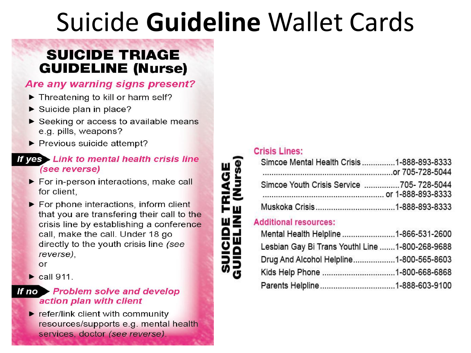## Suicide Guideline Wallet Cards

### **SUICIDE TRIAGE GUIDELINE (Nurse)**

### Are any warning signs present?

- Threatening to kill or harm self?
- $\triangleright$  Suicide plan in place?
- Seeking or access to available means e.g. pills, weapons?
- $\blacktriangleright$  Previous suicide attempt?

### If yes Link to mental health crisis line (see reverse)

- For in-person interactions, make call for client.
- $\blacktriangleright$  For phone interactions, inform client that you are transfering their call to the crisis line by establishing a conference call, make the call. Under 18 go directly to the youth crisis line (see reverse),

or

 $\triangleright$  call 911.

### If no Problem solve and develop action plan with client

 $\blacktriangleright$  refer/link client with community resources/supports e.g. mental health services, doctor (see reverse).

### **Crisis Lines:**

| Simcoe Mental Health Crisis 1-888-893-8333 |  |
|--------------------------------------------|--|
|                                            |  |
| Simcoe Youth Crisis Service 705-728-5044   |  |
|                                            |  |
|                                            |  |

### **Additional resources:**

| Mental Health Helpline 1-866-531-2600           |  |
|-------------------------------------------------|--|
| Lesbian Gay Bi Trans Youthl Line 1-800-268-9688 |  |
| Drug And Alcohol Helpline1-800-565-8603         |  |
| Kids Help Phone 1-800-668-6868                  |  |
|                                                 |  |
|                                                 |  |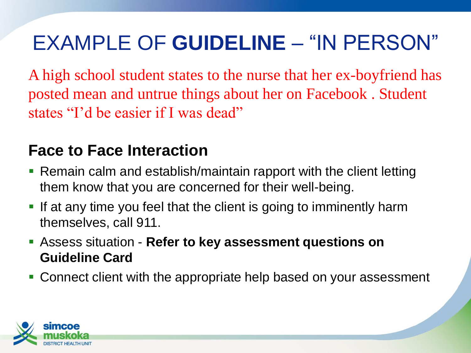## EXAMPLE OF **GUIDELINE** – "IN PERSON"

A high school student states to the nurse that her ex-boyfriend has posted mean and untrue things about her on Facebook . Student states "I'd be easier if I was dead"

### **Face to Face Interaction**

- Remain calm and establish/maintain rapport with the client letting them know that you are concerned for their well-being.
- If at any time you feel that the client is going to imminently harm themselves, call 911.
- Assess situation **Refer to key assessment questions on Guideline Card**
- Connect client with the appropriate help based on your assessment

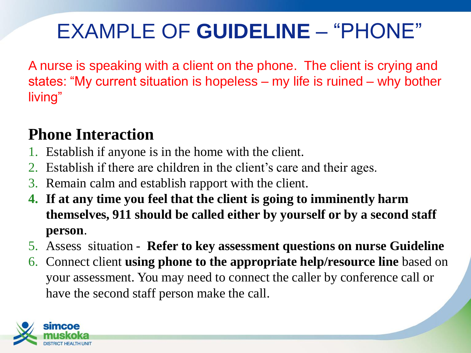## EXAMPLE OF **GUIDELINE** – "PHONE"

A nurse is speaking with a client on the phone. The client is crying and states: "My current situation is hopeless – my life is ruined – why bother living"

### **Phone Interaction**

- 1. Establish if anyone is in the home with the client.
- 2. Establish if there are children in the client's care and their ages.
- 3. Remain calm and establish rapport with the client.
- **4. If at any time you feel that the client is going to imminently harm themselves, 911 should be called either by yourself or by a second staff person**.
- 5. Assess situation **Refer to key assessment questions on nurse Guideline**
- 6. Connect client **using phone to the appropriate help/resource line** based on your assessment. You may need to connect the caller by conference call or have the second staff person make the call.